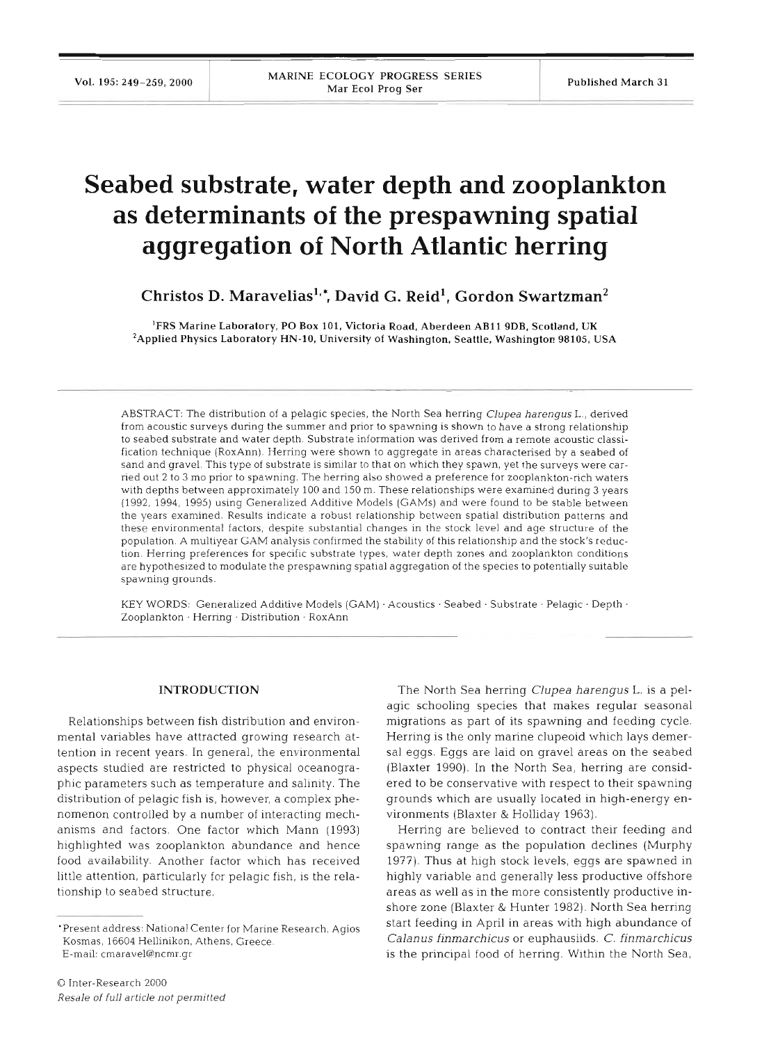# **Seabed substrate, water depth and zooplankton as determinants of the prespawning spatial aggregation of North Atlantic herring**

**Christos D. Maraveliasl.: David G. Reid1, Gordon swartzman2** 

'FRS Marine Laboratory, PO Box **101.** Victoria Road, Aberdeen **AB11 9DB,** Scotland, UK <sup>2</sup>Applied Physics Laboratory HN-10, University of Washington, Seattle, Washington 98105, USA

ABSTRACT: The distribution of a pelagic species, the North Sea herring Clupea harengus L., derived from acoustic surveys during the summer and prior to spawning is shown to have a strong relationship to seabed substrate and water depth. Substrate information was derived from a remote acoustic classification technique (RoxAnn). Herring were shown to aggregate in areas characterised by a seabed of sand and gravel. This type of substrate is similar to that on which they spawn, yet the surveys were carried out 2 to 3 mo prior to spawning. The herring also showed a preference for zooplankton-rich waters with depths between approximately 100 and 150 m. These relationships were examined during 3 years (1992, 1994, 1995) using Generalized Additive Models (GAMs) and were found to be stable between the years examined. Results indicate a robust relationship between spatial distribution patterns and these environmental factors, despite substantial changes in the stock level and age structure of the population. A multiyear GAM analysis confirmed the stability of this relationship and the stock's reduction. Herring preferences for specific substrate types, water depth zones and zooplankton conditions are hypothesized to modulate the prespawning spatial aggregation of the species to potentially suitable spawning grounds.

KEY WORDS: Generalized Additive Models  $(GAM) \cdot Acoustics \cdot Seabed \cdot Substrate \cdot Pelagic \cdot Depth \cdot$ Zooplankton . Herring . Distribution - RoxAnn

#### **INTRODUCTION**

Relationships between fish distribution and environmental variables have attracted growing research attention in recent years. In general, the environmental aspects studied are restricted to physical oceanographic parameters such as temperature and salinity. The distribution of pelagic fish is, however, a complex phenomenon controlled by a number of interacting mechanisms and factors. One factor which Mann (1993) highlighted was zooplankton abundance and hence food availability. Another factor which has received little attention, particularly for pelagic fish, is the relationship to seabed structure.

The North Sea herring *Clupea harengus* L. is a pelagic schooling species that makes regular seasonal migrations as part of its spawning and feeding cycle. Herring is the only marine clupeoid which lays demersal eggs. Eggs are laid on gravel areas on the seabed (Blaxter 1990). In the North Sea, herring are considered to be conservative with respect to their spawning grounds which are usually located in high-energy environments (Blaxter & Holliday 1963).

Herring are believed to contract their feeding and spawning range as the population declines (Murphy 1977). Thus at high stock levels, eggs are spawned in highly variable and generally less productive offshore areas as well as in the more consistently productive inshore zone (Blaxter & Hunter 1982). North Sea herring start feeding in April in areas with high abundance of *Calanus finmarchicus* or euphausiids. *C. finmarchicus*  is the principal food of herring. Within the North Sea,

<sup>&#</sup>x27;Present address: National Center for Marine Research, Agios Kosmas, 16604 Hellinikon, Athens, Greece. E-mail: cmaravel@ncmr.gr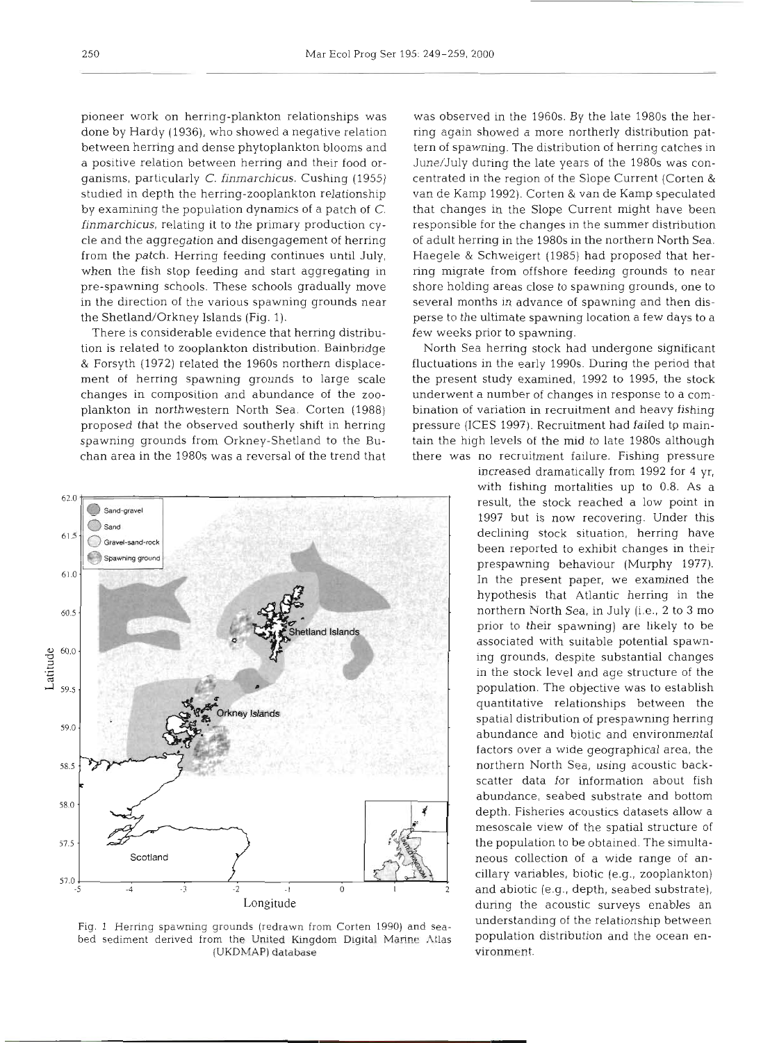pioneer work on herring-plankton relationships was done by Hardy (1936), who showed a negative relation between herring and dense phytoplankton blooms and a positive relation between herring and their food organisms, particularly C. **finmarchicus.** Cushing (1955) studied in depth the herring-zooplankton relationship by examining the population dynamics of a patch of C. **finmarchicus,** relating it to the primary production cycle and the aggregation and disengagement of herring from the patch. Herring feeding continues until July, when the fish stop feeding and start aggregating in pre-spawning schools. These schools gradually move in the direction of the various spawning grounds near the Shetland/Orkney Islands (Fig. 1).

There is considerable evidence that herring distribution is related to zooplankton distribution. Bainbridge & Forsyth (1972) related the 1960s northern displacement of herring spawning grounds to large scale changes in composition and abundance of the zooplankton in northwestern North Sea. Corten (1988) proposed that the observed southerly shift in herring spawning grounds from Orkney-Shetland to the Buchan area in the 1980s was a reversal of the trend that



Fig. 1 Herring spawning grounds (redrawn from Corten 1990) and seabed sediment derived from the United Kingdom Digital Marine Atlas (UKDMAP) **database** 

was observed in the 1960s. By the late 1980s the herring again showed a more northerly distribution pattern of spawning. The distribution of herring catches in June/July during the late years of the 1980s was concentrated in the region of the Slope Current (Corten & van de Kamp 1992). Corten & van de Kamp speculated that changes in the Slope Current might have been responsible for the changes in the summer distribution of adult herring in the 1980s in the northern North Sea. Haegele & Schweigert (1985) had proposed that herring migrate from offshore feeding grounds to near shore holding areas close to spawning grounds, one to several months in advance of spawning and then disperse to the ultimate spawning location a few days to a few weeks prior to spawning.

North Sea herring stock had undergone significant fluctuations in the early 1990s. During the period that the present study examined, 1992 to 1995, the stock underwent a number of changes in response to a combination of variation in recruitment and heavy fishing pressure (ICES 1997). Recruitment had failed tp maintain the high levels of the mid to late 1980s although there was no recruitment failure. Fishing pressure

> increased dramatically from 1992 for 4 yr, vith fishing mortalities up to 0.8. As a result, the stock reached a low point in 1997 but is now recovering. Under this declining stock situation, herring have been reported to exhibit changes in their prespawning behaviour (Murphy 1977). In the present paper, we examined the hypothesis that Atlantic herring in the northern North Sea, in July (i.e., 2 to **3** mo prior to their spawning) are likely to be associated with suitable potential spawning grounds, despite substantial changes in the stock level and age structure of the population. The objective was to establish quantitative relationships between the spatial distribution of prespawning herring abundance and biotic and environmental factors over a wide geographical area, the northern North Sea, using acoustic backscatter data for information about fish abundance, seabed substrate and bottom depth. Fisheries acoustics datasets allow a mesoscale view of the spatial structure of the population to be obtained. The simultaneous collection of a wide range of ancillary variables, biotic (e.g., zooplankton) and abiotic (e.g., depth, seabed substrate), during the acoustic surveys enables an understanding of the relationship between population distribution and the ocean environment.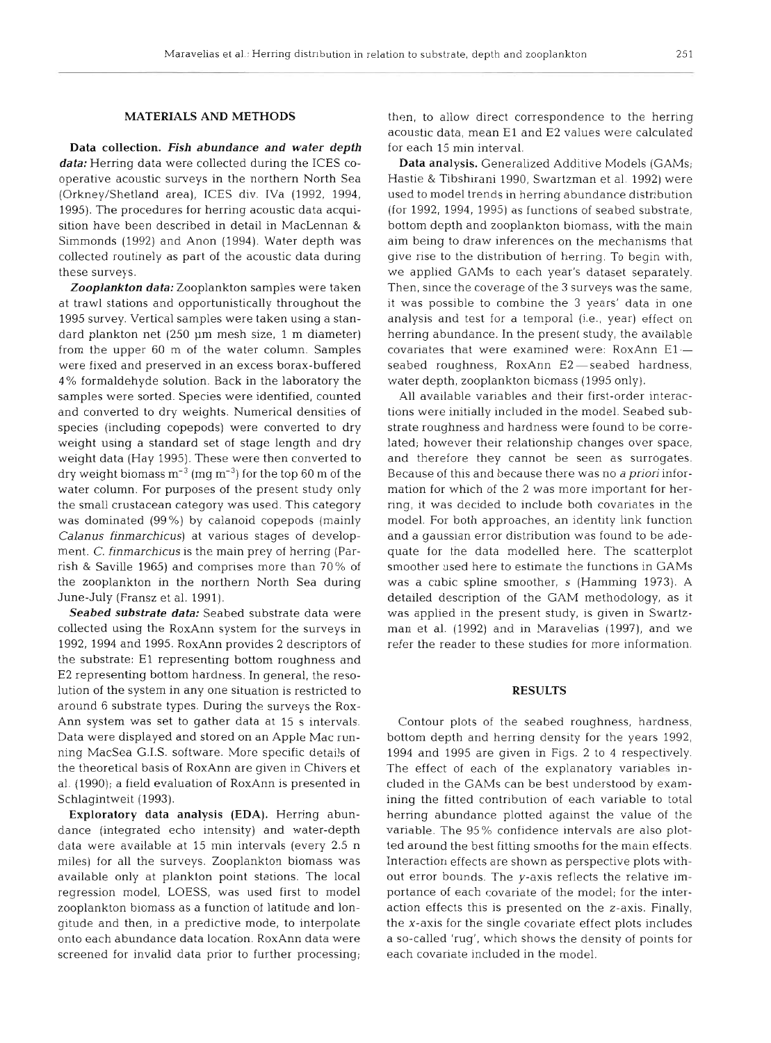### MATERIALS AND METHODS

Data collection. *Fish abundance and water depth data:* Herring data were collected during the ICES cooperative acoustic surveys in the northern North Sea (Orkney/Shetland area), ICES div. IVa (1992, 1994, 1995). The procedures for herring acoustic data acquisition have been described in detail in MacLennan & Simmonds (1992) and Anon (1994). Water depth was collected routinely as part of the acoustic data during these surveys.

*Zooplankton data:* Zooplankton samples were taken at trawl stations and opportunistically throughout the 1995 survey. Vertical samples were taken using a standard plankton net (250 µm mesh size, 1 m diameter) from the upper 60 m of the water column. Samples were fixed and preserved in an excess borax-buffered <sup>4</sup>% formaldehyde solution. Back in the laboratory the samples were sorted. Species were identified, counted and converted to dry weights. Numerical densities of species (including copepods) were converted to dry weight using a standard set of stage length and dry weight data (Hay 1995). These were then converted to dry weight biomass  $m^{-3}$  (mg  $m^{-3}$ ) for the top 60 m of the water column. For purposes of the present study only the small crustacean category was used. This category was dominated (99%) by calanoid copepods (mainly Calanus finmarchicus) at various stages of development. C, finmarchicus is the main prey of herring (Parrish & Saville 1965) and comprises more than 70% of the zooplankton in the northern North Sea during June-July (Fransz et al. 1991).

*Seabed substrate data:* Seabed substrate data were collected using the RoxAnn system for the surveys in 1992, 1994 and 1995. RoxAnn provides 2 descriptors of the substrate: El representing bottom roughness and E2 representing bottom hardness. In general, the resolution of the system in any one situation is restricted to around 6 substrate types. During the surveys the Rox-Ann system was set to gather data at 15 s intervals. Data were displayed and stored on an Apple Mac running MacSea G.I.S. software. More specific details of the theoretical basis of RoxAnn are given in Chivers et al. (1990); a field evaluation of RoxAnn is presented in Schlagintweit (1993).

Exploratory data analysis (EDA). Herring abundance (integrated echo intensity) and water-depth data were available at 15 min intervals (every 2.5 n miles) for all the surveys. Zooplankton biomass was available only at plankton point stations. The local regression model, LOESS, was used first to model zooplankton biomass as a function of latitude and longitude and then, in a predictive mode, to interpolate onto each abundance data location. RoxAnn data were screened for invalid data prior to further processing;

then, to allow direct correspondence to the herring acoustic data, mean El and E2 values were calculated for each 15 min interval.

Data analysis. Generalized Additive Models (GAMs; Hastie & Tibshirani 1990, Swartzn~an et al. 1992) were used to model trends in herring abundance distribution (for 1992, 1994, 1995) as functions of seabed substrate, bottom depth and zooplankton biomass, with the main aim being to draw inferences on the mechanisms that give rise to the distribution of herring. To begin with, we applied GAMs to each year's dataset separately. Then, since the coverage of the **3** surveys was the same, it was possible to combine the **3** years' data in one analysis and test for a temporal (i.e., year) effect on herring abundance. In the present study, the available covariates that were examined were:  $RoxAnn E1$ seabed roughness, RoxAnn E2-seabed hardness, water depth, zooplankton biomass (1995 only).

All available variables and their first-order interactions were initially included in the model. Seabed substrate roughness and hardness were found to be correlated; however their relationship changes over space, and therefore they cannot be seen as surrogates. Because of this and because there was no a *priori* information for which of the 2 was more important for herring, it was decided to include both covariates in the model. For both approaches, an identity link function and a gaussian error distribution was found to be adequate for the data modelled here. The scatterplot smoother used here to estimate the functions in GAMs was a cubic spline smoother, s (Hamming 1973). A detailed description of the GAM methodology, as it was applied in the present study, is given in Swartzman et al. (1992) and in Maravelias (1997), and we refer the reader to these studies for more information.

#### RESULTS

Contour plots of the seabed roughness, hardness, bottom depth and herring density for the years 1992, 1994 and 1995 are given in Figs. 2 to 4 respectively. The effect of each of the explanatory variables included in the GAMs can be best understood by examining the fitted contribution of each variable to total herring abundance plotted against the value of the variable. The 95% confidence intervals are also plotted around the best fitting smooths for the main effects. Interaction effects are shown as perspective plots without error bounds. The y-axis reflects the relative importance of each covariate of the model; for the interaction effects this is presented on the z-axis. Finally, the x-axis for the single covariate effect plots includes a so-called 'rug', which shows the density of points for each covariate included in the model.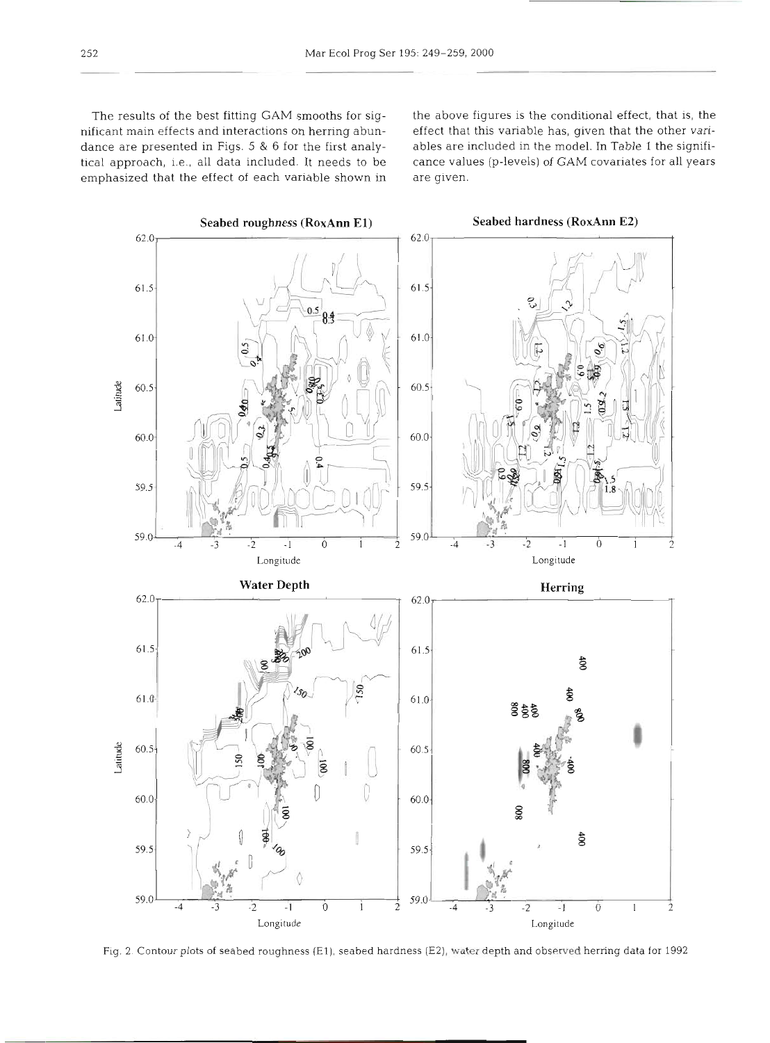nificant main effects and interactions on herring abun- effect that this variable has, given that the other varidance are presented in Figs. *5* & 6 for the first analy- ables are included in the model. In Table 1 the signifitical approach, i.e., all data included. It needs to be cance values (p-levels) of GAM covariates for all years emphasized that the effect of each variable shown in are given.

The results of the best fitting GAM smooths for sig- the above figures is the conditional effect, that is, the



Fig. 2. Contour plots of seabed roughness (El), seabed hardness (E2), **water** depth and observed herring data for 1992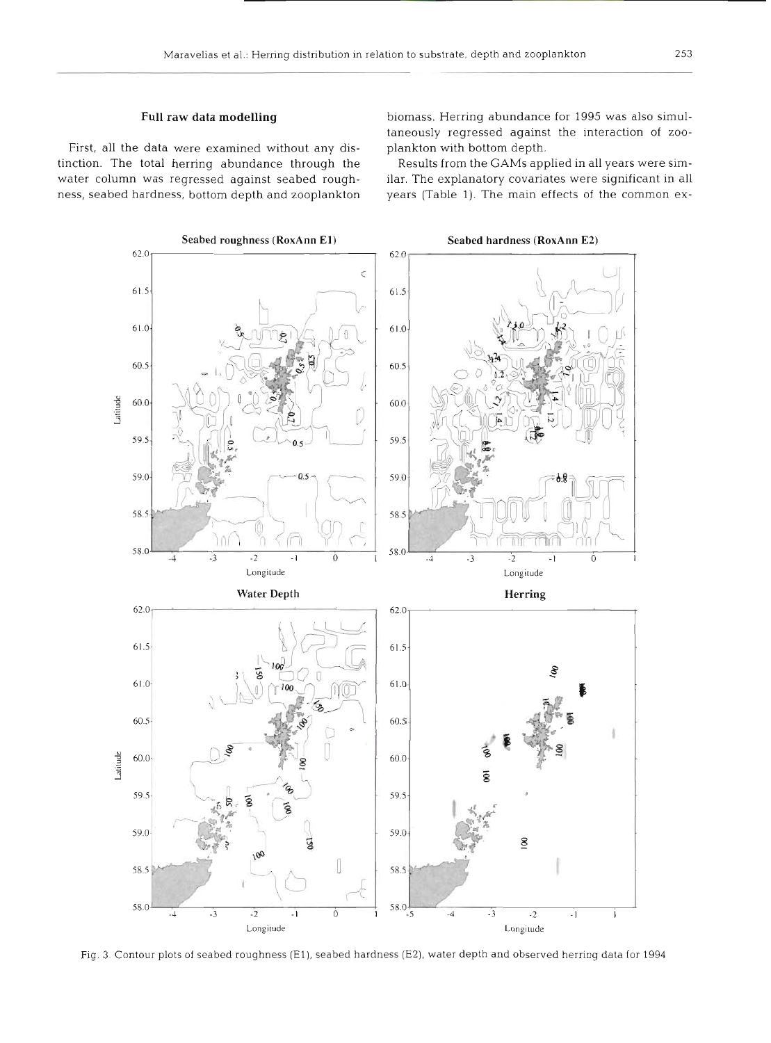#### **Full** raw data modelling

First, all the data were examined without any distinction. The total herring abundance through the water column was regressed against seabed roughness, seabed hardness, bottom depth and zooplankton biomass. Herring abundance for 1995 was also simultaneously regressed against the interaction of zooplankton with bottom depth.

Results from the GAMs applied in all years were similar. The explanatory covariates were significant in all years (Table 1). The main effects of the common ex-



Fig. **3.** Contour plots of seabed roughness (El), seabed hardness (E2), water depth and observed herring data for 1994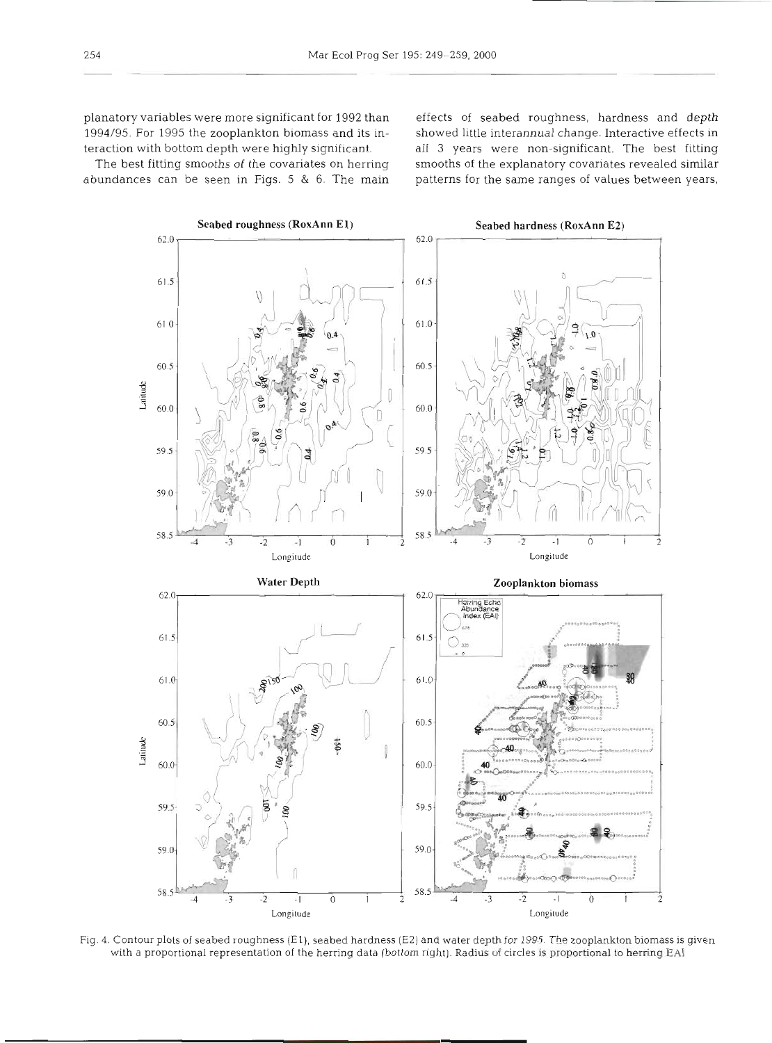1994/95. For 1995 the zooplankton biomass and its in- showed little interannual change. Interactive effects in

planatory variables were more significant for 1992 than effects of seabed roughness, hardness and depth The best fitting smooths of the covariates on herring smooths of the explanatory covariates revealed similar abundances can be seen in Figs. 5 & 6. The main patterns for the same ranges of values between years,

teraction with bottom depth were highly significant. all **3** years were non-significant, The best fitting



Fig. **4.** Contour plots of seabed roughness (El), seabed hardness (E2) and water depth for 1995. The zooplankton biomass is given with a proportional representation of the herring data (bottom right). Radius of circles is proportional to herring EAI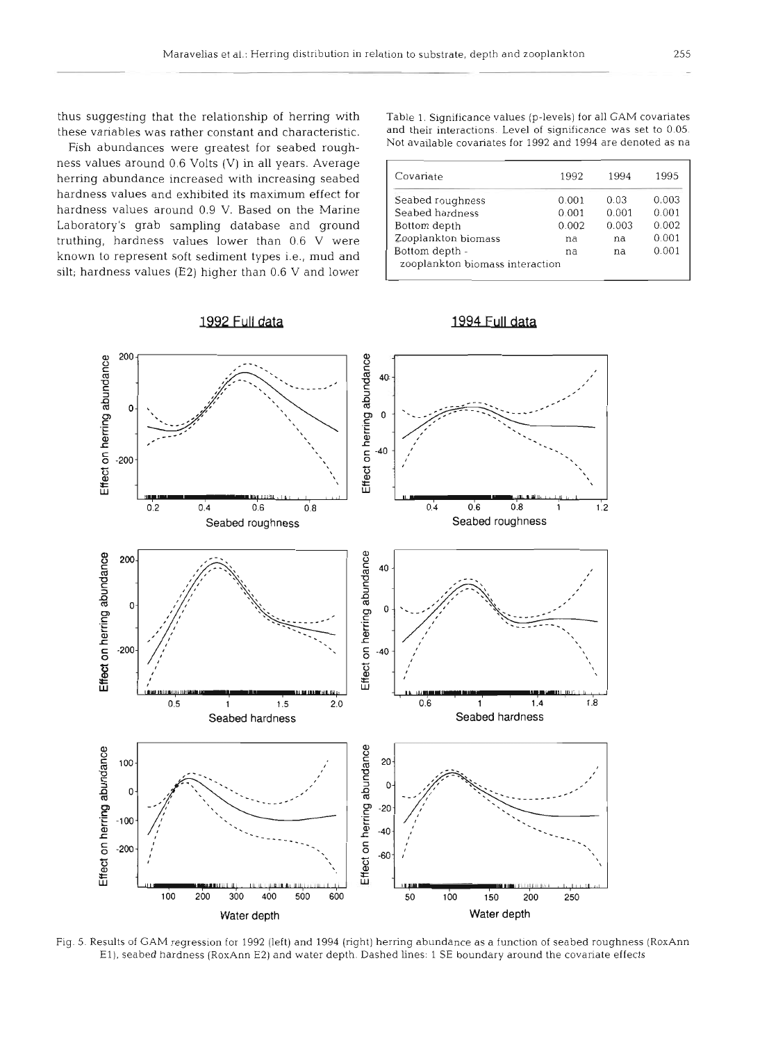thus suggesting that the relationship of herring with Table 1. Significance values (p-levels) for all **CAM** covariates

Fish abundances were greatest for seabed roughness values around 0.6 Volts (V) in all years. Average herring abundance increased with increasing seabed hardness values and exhibited its maximum effect for hardness values around 0.9 V. Based on the Marine Laboratory's grab sampling database and ground truthing, hardness values lower than 0.6 V were known to represent soft sediment types i.e., mud and silt; hardness values (E2) higher than  $0.6$  V and lower

1992 Full data

these variables was rather constant and characteristic. and their interactions. Level of significance was set to 0.05.<br>Eich abundances were greatest for seabed rough. Not available covariates for 1992 and 1994 are denoted

| Covariate                       | 1992  | 1994  | 1995  |
|---------------------------------|-------|-------|-------|
| Seabed roughness                | 0.001 | 0.03  | 0.003 |
| Seabed hardness                 | 0.001 | 0.001 | 0.001 |
| Bottom depth                    | 0.002 | 0.003 | 0.002 |
| Zooplankton biomass             | na    | na    | 0.001 |
| Bottom depth -                  | na    | na    | 0.001 |
| zooplankton biomass interaction |       |       |       |

## 1994 Full data



Fig. 5. Results of GAM regression for 1992 (left) and 1994 (right) herring abundance as a function of seabed roughness (RoxAnn El), seabed hardness (RoxAnn E2) and water depth. Dashed lines: 1 SE boundary around the covariate effects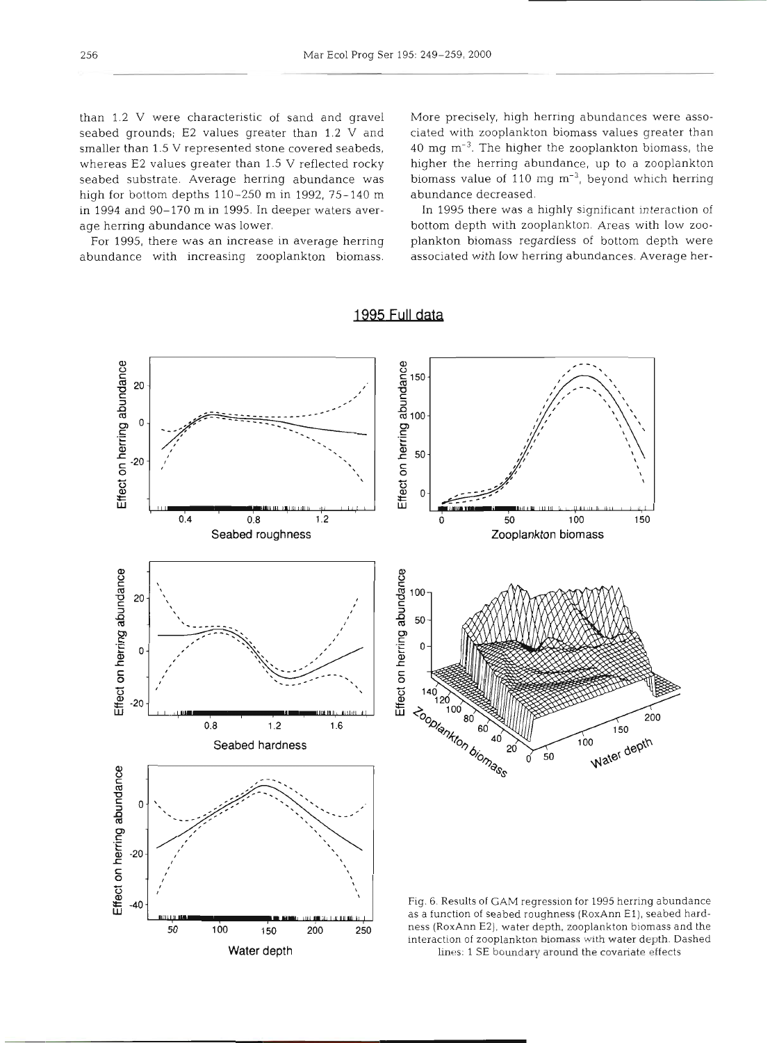than 1.2 V were characteristic of sand and gravel seabed grounds; E2 values greater than 1.2 V and smaller than 1.5 V represented stone covered seabeds, whereas E2 values greater than 1.5 V reflected rocky seabed substrate. Average herring abundance was high for bottom depths 110-250 m in 1992, 75-140 m in 1994 and 90-170 m in 1995. In deeper waters average herring abundance was lower.

For 1995, there was an increase in average herring abundance with increasing zooplankton biomass.

**Water depth** 

More precisely, high herring abundances were associated with zooplankton biomass values greater than 40 mg m-3. The higher the zooplankton biomass, the higher the herring abundance, up to a zooplankton biomass value of 110 mg  $m^{-3}$ , beyond which herring abundance decreased.

In 1995 there was a highly significant interaction of bottom depth with zooplankton. Areas with low zooplankton biomass regardless of bottom depth were associated with low herring abundances. Average her-



1995 Full data

lines: **1 SE** boundary around the covariate effects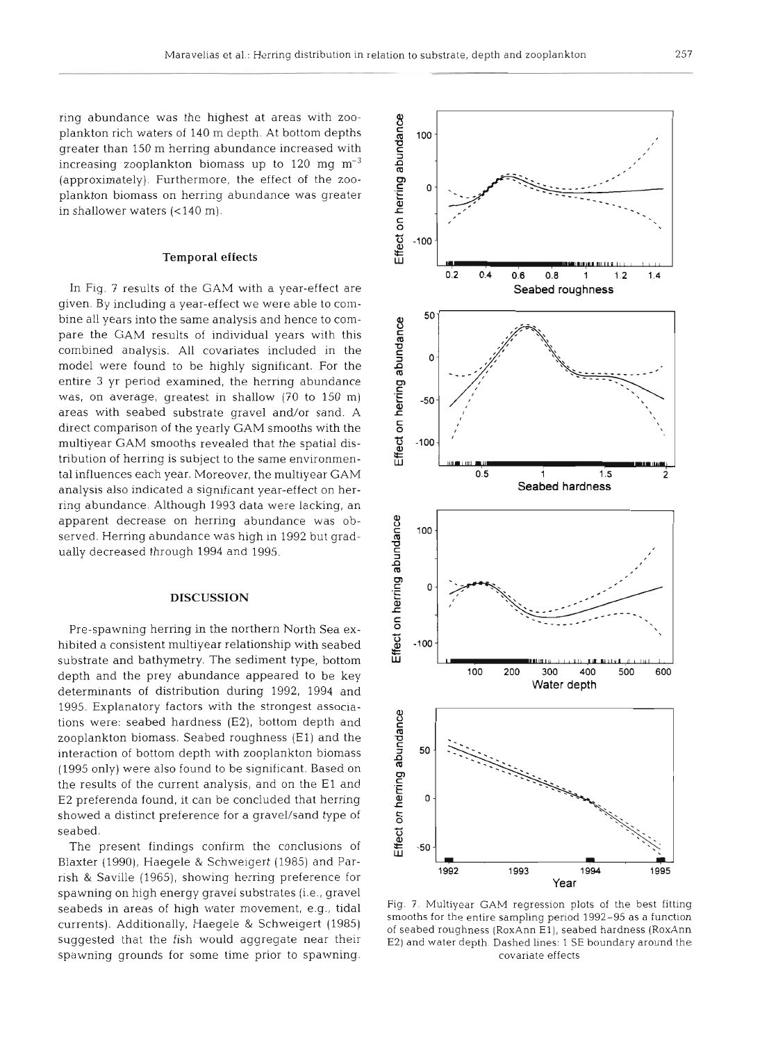ring abundance was the highest at areas with zooplankton rich waters of 140 m depth. At bottom depths greater than 150 m herring abundance increased with increasing zooplankton biomass up to 120 mg  $m^{-3}$ (approximately). Furthermore, the effect of the zooplankton biomass on herring abundance was greater in shallower waters  $\left( < 140 \text{ m} \right)$ .

#### Temporal effects

In Fig. 7 results of the GAM with a year-effect are given. By including a year-effect we were able to combine all years into the same analysis and hence to compare the GAM results of individual years with this combined analysis. All covanates included in the model were found to be highly significant. For the entire **3** yr period examined, the herring abundance was, on average, greatest in shallow (70 to 150 m) areas with seabed substrate gravel and/or sand. A direct comparison of the yearly GAM smooths with the multiyear GAM smooths revealed that the spatial distribution of herring is subject to the same environmental influences each year. Moreover, the multiyear GAM analysis also indicated a significant year-effect on herring abundance. Although 1993 data were lacking, an apparent decrease on herring abundance was observed. Herring abundance was high in 1992 but gradually decreased through 1994 and 1995.

#### **DISCUSSION**

Pre-spawning herring in the northern North Sea exhibited a consistent multiyear relationship with seabed substrate and bathymetry. The sediment type, bottom depth and the prey abundance appeared to be key determinants of distribution during 1992, 1994 and 1995. Explanatory factors with the strongest associations were: seabed hardness (E2), bottom depth and zooplankton biomass. Seabed roughness (El) and the interaction of bottom depth with zooplankton biomass (1995 only) were also found to be significant. Based on the results of the current analysis, and on the El and E2 preferenda found, it can be concluded that herring showed a distinct preference for a gravel/sand type of seabed.

The present findings confirm the conclusions of Blaxter (1990), Haegele & Schweigert (1985) and Parrish & Saville (1965), showing herring preference for spawning on high energy gravel substrates (i.e., gravel seabeds in areas of high water movement, e.g., tidal currents). Additionally, Haegele & Schweigert (1985) suggested that the fish would aggregate near their spawning grounds for some time prior to spawning.



Fig. 7. Multiyear GAM regression plots of the best fitting smooths for the entire sampling period 1992-95 as a function of seabed roughness (RoxAnn El), seabed hardness (RoxAnn E2) and water depth. Dashed lines: 1 SE boundary around the covariate effects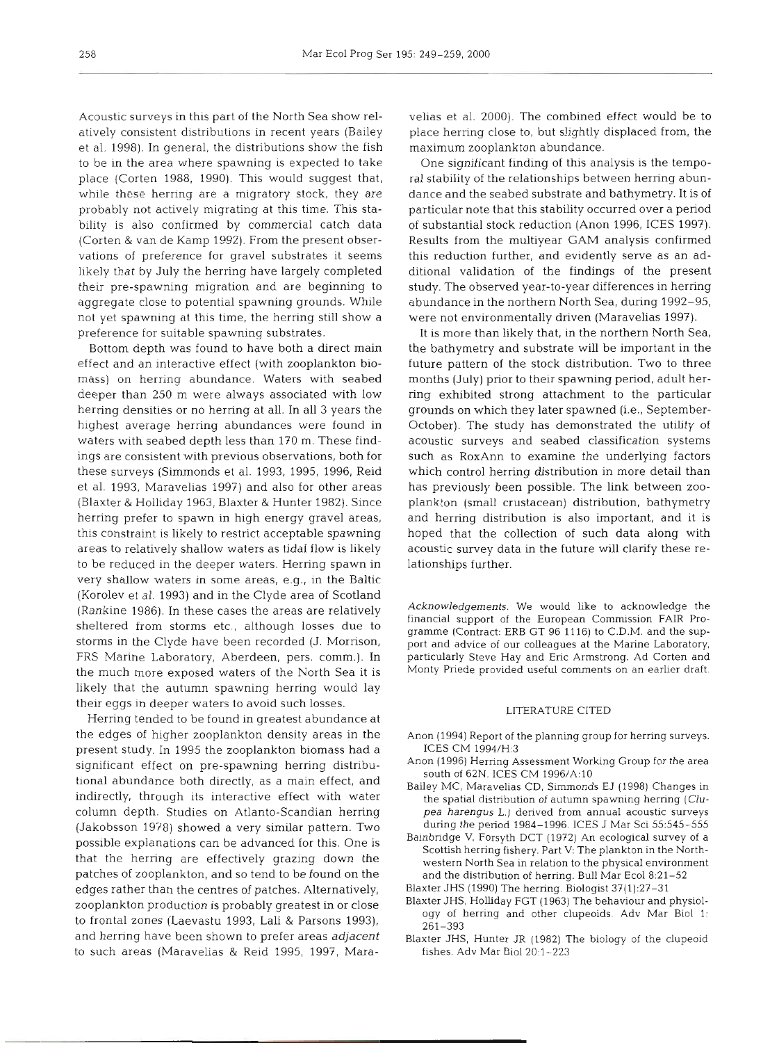Acoustic surveys in this part of the North Sea show relatively consistent distributions in recent years (Bailey et al. 1998). In general, the distributions show the fish to be in the area where spawning is expected to take place (Corten 1988, 1990). This would suggest that, while these herring are a migratory stock, they are probably not actively migrating at this time. This stability is also confirmed by commercial catch data (Corten & van de Kamp 1992). From the present observations of preference for gravel substrates it seems likely that by July the herring have largely completed their pre-spawning migration and are beginning to aggregate close to potential spawning grounds. While not yet spawning at this time, the herring still show a preference for suitable spawning substrates.

Bottom depth was found to have both a direct main effect and an interactive effect (with zooplankton biomass) on herring abundance. Waters with seabed deeper than 250 m were always associated with low herring densities or no herring at all. In all 3 years the highest average herring abundances were found in waters with seabed depth less than 170 m. These findings are consistent with previous observations, both for these surveys (Simmonds et al. 1993, 1995, 1996, Reid et al. 1993, Maravelias 1997) and also for other areas (Blaxter & Holliday 1963, Blaxter & Hunter 1982). Since herring prefer to spawn in high energy gravel areas, this constraint is likely to restrict acceptable spawning areas to relatively shallow waters as tidal flow is likely to be reduced in the deeper waters. Herring spawn in very shallow waters in some areas, e.g., in the Baltic (Korolev et al. 1993) and in the Clyde area of Scotland (Rankine 1986). In these cases the areas are relatively sheltered from storms etc., although losses due to storms in the Clyde have been recorded (J. Morrison, FRS Marine Laboratory, Aberdeen, pers. comm.). In the much more exposed waters of the North Sea it is likely that the autumn spawning herring would lay their eggs in deeper waters to avoid such losses.

Herring tended to be found in greatest abundance at the edges of higher zooplankton density areas in the present study. In 1995 the zooplankton biomass had a significant effect on pre-spawning herring distributional abundance both directly, as a main effect, and indirectly, through its interactive effect with water column depth. Studies on Atlanto-Scandian herring (Jakobsson 1978) showed a very similar pattern. Two possible explanations can be advanced for this. One is that the herring are effectively grazing down the patches of zooplankton, and so tend to be found on the edges rather than the centres of patches. Alternatively, zooplankton production is probably greatest in or close to frontal zones (Laevastu 1993, Lali & Parsons 1993), and herring have been shown to prefer areas *adjacent*  to such areas (Maravelias & Reid 1995, 1997, Mara-

elias et al. 2000). The combined effect would be to<br>lace herring close to, but slightly displaced from, the<br>anaximum zooplankton abundance.<br>One significant finding of this analysis is the tempo-<br>al stability of the relatio

icknowledgements. We would like to acknowledge the<br>nancial support of the European Commission FAIR Pro-<br>ramme (Contract: ERB GT 96 1116) to C.D.M. and the sup-<br>ort and advice of our colleagues at the Marine Laboratory,<br>art

- 
- 
- 
- pea harengus L.) derived from annual acoustic surveys<br>during the period 1984–1996. ICES J Mar Sci 55:545–555<br>ainbridge V, Forsyth DCT (1972) An ecological survey of a<br>Scottish herring fishery. Part V: The plankton in the
- 
- 
-